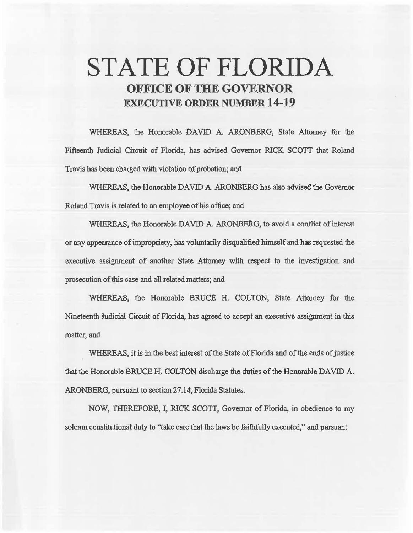# **STATE OF FLORIDA OFFICE OF THE GOVERNOR EXECUTIVE ORDER NUMBER 14-19**

WHEREAS, the Honorable DAVID A. ARONBERG, State Attorney for the Fifteenth Judicial Circuit of Florida, has advised Governor RICK *SCOTT* that Roland Travis has been charged with violation of probation; and

WHEREAS, the Honorable DAVID A. ARONBERG has also advised the Governor Roland Travis is related to an employee of his office; and

WHEREAS, the Honorable DAVID A. ARONBERG, to avoid a conflict of interest or any appearance of impropriety, has voluntarily disqualified himself and has requested the executive assignment of another State Attorney with respect to the investigation and prosecution of this case and aU related matters; and

WHEREAS, the Honorable BRUCE H. COLTON, State Attorney for the Nineteenth Judicial Circuit of Florida, has agreed to accept an executive assignment in this matter; and

WHEREAS, it is in the best interest of the State of Florida and of the ends of justice that the Honorable BRUCE H. COLTON discharge the duties of the Honorable DAVID A. ARONBERG, pursuant to section 27 .14, Florida Statutes.

NOW, THEREFORE, I, RICK SCOTT, Governor of Florida, in obedience to my solemn constitutional duty to "take care that the laws be faithfully executed," and pursuant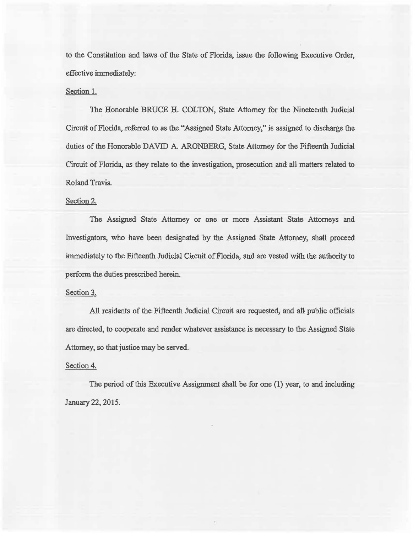to the Constitution and laws of the State of Florida, issue the following Executive Order, effective immediately:

#### Section 1.

The Honorable BRUCE H. COLTON, State Attorney for the Nineteenth Judicial Circuit of Florida, referred to as the "Assigned State Attorney," is assigned to discharge the duties of the Honorable DAVID A. ARONBERG, State Attorney for the Fifteenth Judicial Circuit of Florida, as they relate to the investigation, prosecution and all matters related to Roland Travis.

## Section 2.

The Assigned State Attorney or one or more Assistant State Attorneys and Investigators, who have been designated by the Assigned State Attorney, shall proceed immediately to the Fifteenth Judicial Circuit of Florida, and are vested with the authority to perform the duties prescribed herein.

# Section 3.

All residents of the Fifteenth Judicial Circuit are requested, and all public officials are directed, to cooperate and render whatever assistance is necessary to the Assigned State Attorney, so that justice may be served.

### Section 4.

The period of this Executive Assignment shall be for one  $(1)$  year, to and including January 22, 2015.